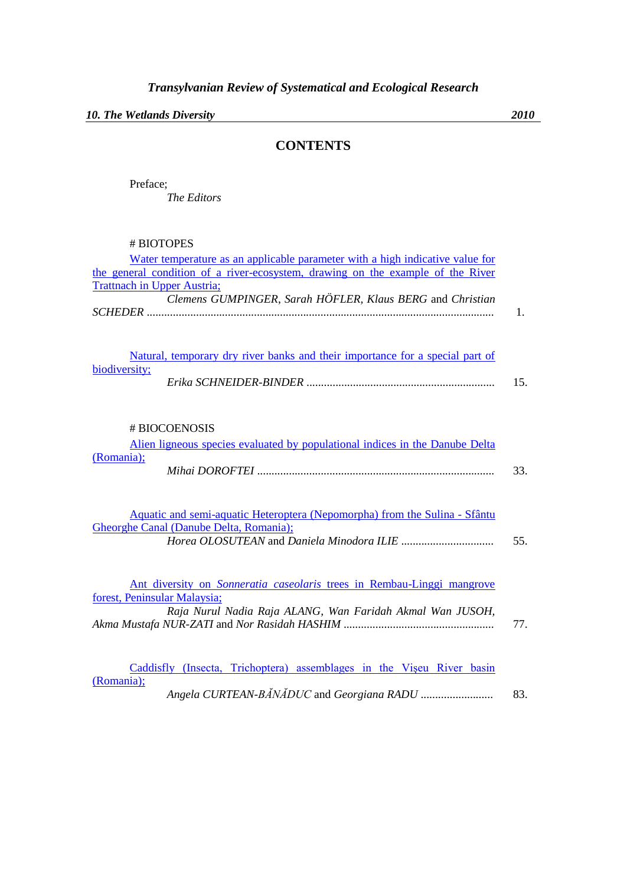*10. The Wetlands Diversity 2010*

## **CONTENTS**

Preface; *The Editors*

# BIOTOPES

| Water temperature as an applicable parameter with a high indicative value for<br>the general condition of a river-ecosystem, drawing on the example of the River<br><b>Trattnach in Upper Austria;</b> |     |
|--------------------------------------------------------------------------------------------------------------------------------------------------------------------------------------------------------|-----|
| Clemens GUMPINGER, Sarah HÖFLER, Klaus BERG and Christian                                                                                                                                              | 1.  |
| Natural, temporary dry river banks and their importance for a special part of<br>biodiversity;                                                                                                         | 15. |
| # BIOCOENOSIS<br>Alien ligneous species evaluated by populational indices in the Danube Delta<br>(Romania);                                                                                            | 33. |
| Aquatic and semi-aquatic Heteroptera (Nepomorpha) from the Sulina - Sfântu<br>Gheorghe Canal (Danube Delta, Romania);                                                                                  | 55. |
| Ant diversity on <i>Sonneratia caseolaris</i> trees in Rembau-Linggi mangrove<br>forest, Peninsular Malaysia;<br>Raja Nurul Nadia Raja ALANG, Wan Faridah Akmal Wan JUSOH,                             | 77. |
| Caddisfly (Insecta, Trichoptera) assemblages in the Viseu River basin<br>(Romania);                                                                                                                    | 83. |